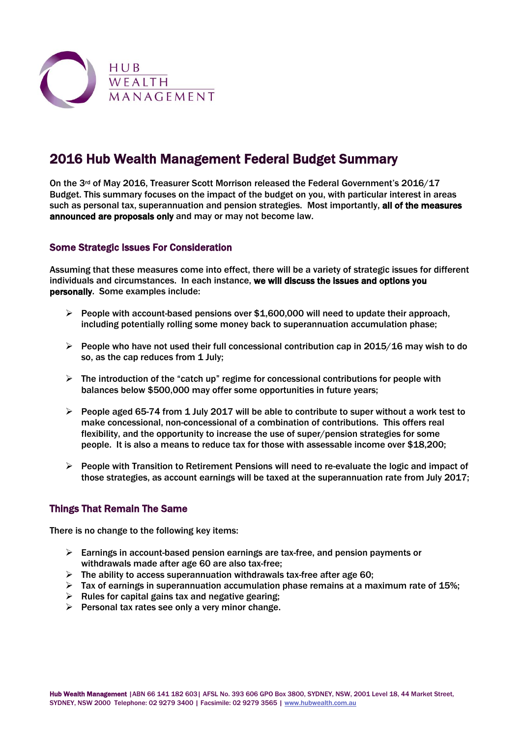

# 2016 Hub Wealth Management Federal Budget Summary

On the 3rd of May 2016, Treasurer Scott Morrison released the Federal Government's 2016/17 Budget. This summary focuses on the impact of the budget on you, with particular interest in areas such as personal tax, superannuation and pension strategies. Most importantly, all of the measures announced are proposals only and may or may not become law.

#### Some Strategic Issues For Consideration

Assuming that these measures come into effect, there will be a variety of strategic issues for different individuals and circumstances. In each instance, we will discuss the issues and options you personally. Some examples include:

- $\triangleright$  People with account-based pensions over \$1,600,000 will need to update their approach, including potentially rolling some money back to superannuation accumulation phase;
- $\triangleright$  People who have not used their full concessional contribution cap in 2015/16 may wish to do so, as the cap reduces from 1 July;
- $\triangleright$  The introduction of the "catch up" regime for concessional contributions for people with balances below \$500,000 may offer some opportunities in future years;
- $\triangleright$  People aged 65-74 from 1 July 2017 will be able to contribute to super without a work test to make concessional, non-concessional of a combination of contributions. This offers real flexibility, and the opportunity to increase the use of super/pension strategies for some people. It is also a means to reduce tax for those with assessable income over \$18,200;
- $\triangleright$  People with Transition to Retirement Pensions will need to re-evaluate the logic and impact of those strategies, as account earnings will be taxed at the superannuation rate from July 2017;

#### Things That Remain The Same

There is no change to the following key items:

- $\triangleright$  Earnings in account-based pension earnings are tax-free, and pension payments or withdrawals made after age 60 are also tax-free;
- $\triangleright$  The ability to access superannuation withdrawals tax-free after age 60;
- Tax of earnings in superannuation accumulation phase remains at a maximum rate of 15%;
- $\triangleright$  Rules for capital gains tax and negative gearing;
- $\triangleright$  Personal tax rates see only a very minor change.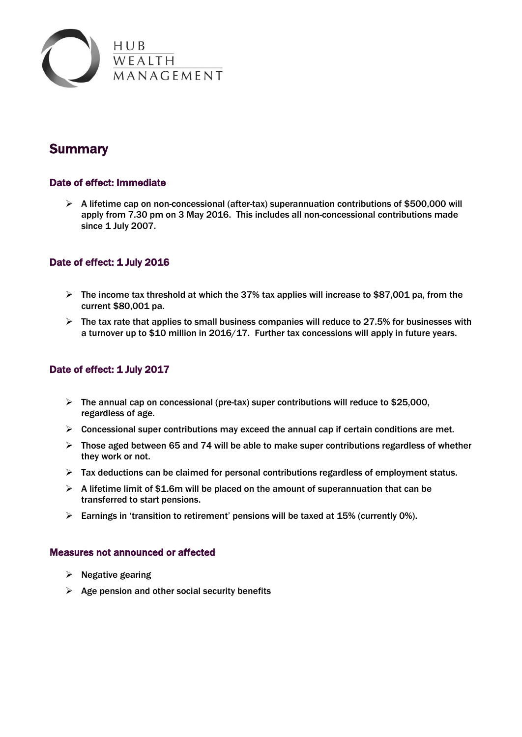

# **Summary**

## Date of effect: Immediate

 $\triangleright$  A lifetime cap on non-concessional (after-tax) superannuation contributions of \$500,000 will apply from 7.30 pm on 3 May 2016. This includes all non-concessional contributions made since 1 July 2007.

## Date of effect: 1 July 2016

- $\triangleright$  The income tax threshold at which the 37% tax applies will increase to \$87,001 pa, from the current \$80,001 pa.
- $\triangleright$  The tax rate that applies to small business companies will reduce to 27.5% for businesses with a turnover up to \$10 million in 2016/17. Further tax concessions will apply in future years.

## Date of effect: 1 July 2017

- $\triangleright$  The annual cap on concessional (pre-tax) super contributions will reduce to \$25,000, regardless of age.
- $\triangleright$  Concessional super contributions may exceed the annual cap if certain conditions are met.
- $\triangleright$  Those aged between 65 and 74 will be able to make super contributions regardless of whether they work or not.
- $\triangleright$  Tax deductions can be claimed for personal contributions regardless of employment status.
- $\triangleright$  A lifetime limit of \$1.6m will be placed on the amount of superannuation that can be transferred to start pensions.
- $\triangleright$  Earnings in 'transition to retirement' pensions will be taxed at 15% (currently 0%).

#### Measures not announced or affected

- $\triangleright$  Negative gearing
- $\triangleright$  Age pension and other social security benefits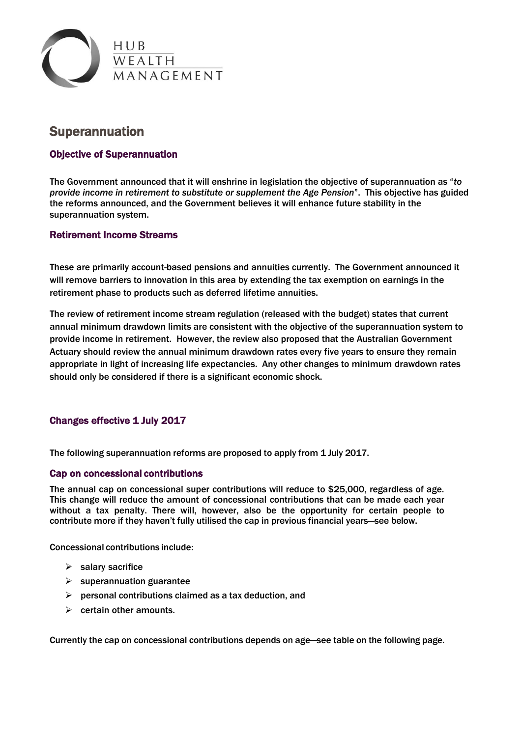

## Superannuation

## Objective of Superannuation

The Government announced that it will enshrine in legislation the objective of superannuation as "*to provide income in retirement to substitute or supplement the Age Pension*". This objective has guided the reforms announced, and the Government believes it will enhance future stability in the superannuation system.

#### Retirement Income Streams

These are primarily account-based pensions and annuities currently. The Government announced it will remove barriers to innovation in this area by extending the tax exemption on earnings in the retirement phase to products such as deferred lifetime annuities.

The review of retirement income stream regulation (released with the budget) states that current annual minimum drawdown limits are consistent with the objective of the superannuation system to provide income in retirement. However, the review also proposed that the Australian Government Actuary should review the annual minimum drawdown rates every five years to ensure they remain appropriate in light of increasing life expectancies. Any other changes to minimum drawdown rates should only be considered if there is a significant economic shock.

#### Changes effective 1 July 2017

The following superannuation reforms are proposed to apply from 1 July 2017.

#### Cap on concessional contributions

The annual cap on concessional super contributions will reduce to \$25,000, regardless of age. This change will reduce the amount of concessional contributions that can be made each year without a tax penalty. There will, however, also be the opportunity for certain people to contribute more if they haven't fully utilised the cap in previous financial years—see below.

Concessional contributions include:

- $\triangleright$  salary sacrifice
- $\triangleright$  superannuation guarantee
- $\triangleright$  personal contributions claimed as a tax deduction, and
- $\triangleright$  certain other amounts.

Currently the cap on concessional contributions depends on age—see table on the following page.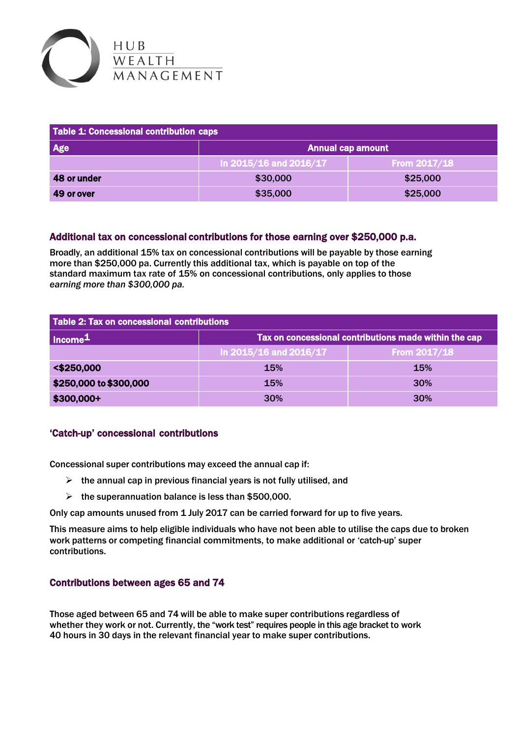

| Table 1: Concessional contribution caps |                          |                |  |  |
|-----------------------------------------|--------------------------|----------------|--|--|
| <b>Age</b>                              | <b>Annual cap amount</b> |                |  |  |
|                                         | In 2015/16 and 2016/17   | From $2017/18$ |  |  |
| 48 or under                             | \$30,000                 | \$25,000       |  |  |
| 49 or over                              | \$35,000                 | \$25,000       |  |  |

#### Additional tax on concessional contributions for those earning over \$250,000 p.a.

Broadly, an additional 15% tax on concessional contributions will be payable by those earning more than \$250,000 pa. Currently this additional tax, which is payable on top of the standard maximum tax rate of 15% on concessional contributions, only applies to those *earning more than \$300,000 pa.*

| Table 2: Tax on concessional contributions |                                                       |                |  |  |
|--------------------------------------------|-------------------------------------------------------|----------------|--|--|
| $\vert$ Income <sup>1</sup>                | Tax on concessional contributions made within the cap |                |  |  |
|                                            | In 2015/16 and 2016/17                                | From $2017/18$ |  |  |
| <\$250,000                                 | <b>15%</b>                                            | <b>15%</b>     |  |  |
| \$250,000 to \$300,000                     | <b>15%</b>                                            | 30%            |  |  |
| \$300,000+                                 | <b>30%</b>                                            | <b>30%</b>     |  |  |

#### 'Catch-up' concessional contributions

Concessional super contributions may exceed the annual cap if:

- $\triangleright$  the annual cap in previous financial years is not fully utilised, and
- $\triangleright$  the superannuation balance is less than \$500,000.

Only cap amounts unused from 1 July 2017 can be carried forward for up to five years.

This measure aims to help eligible individuals who have not been able to utilise the caps due to broken work patterns or competing financial commitments, to make additional or 'catch-up' super contributions.

#### Contributions between ages 65 and 74

Those aged between 65 and 74 will be able to make super contributions regardless of whether they work or not. Currently, the "work test" requires people in this age bracket to work 40 hours in 30 days in the relevant financial year to make super contributions.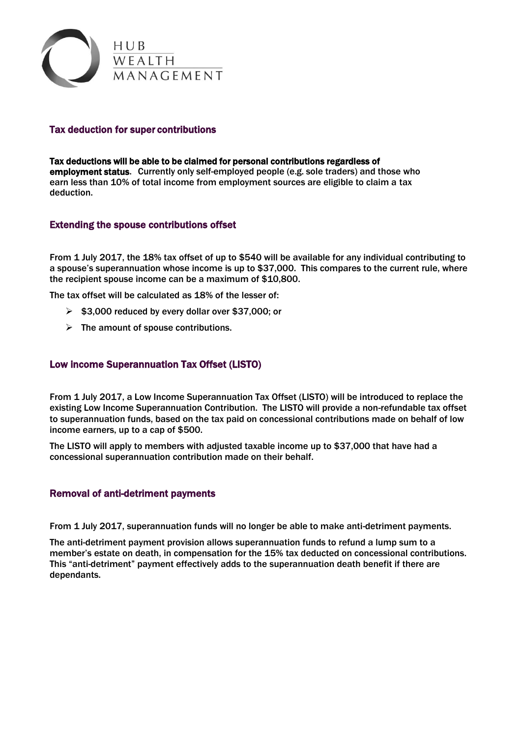

#### Tax deduction for super contributions

Tax deductions will be able to be claimed for personal contributions regardless of employment status. Currently only self-employed people (e.g. sole traders) and those who earn less than 10% of total income from employment sources are eligible to claim a tax deduction.

#### Extending the spouse contributions offset

From 1 July 2017, the 18% tax offset of up to \$540 will be available for any individual contributing to a spouse's superannuation whose income is up to \$37,000. This compares to the current rule, where the recipient spouse income can be a maximum of \$10,800.

The tax offset will be calculated as 18% of the lesser of:

- $\geq$  \$3,000 reduced by every dollar over \$37,000; or
- $\triangleright$  The amount of spouse contributions.

#### Low income Superannuation Tax Offset (LISTO)

From 1 July 2017, a Low Income Superannuation Tax Offset (LISTO) will be introduced to replace the existing Low Income Superannuation Contribution. The LISTO will provide a non-refundable tax offset to superannuation funds, based on the tax paid on concessional contributions made on behalf of low income earners, up to a cap of \$500.

The LISTO will apply to members with adjusted taxable income up to \$37,000 that have had a concessional superannuation contribution made on their behalf.

#### Removal of anti-detriment payments

From 1 July 2017, superannuation funds will no longer be able to make anti-detriment payments.

The anti-detriment payment provision allows superannuation funds to refund a lump sum to a member's estate on death, in compensation for the 15% tax deducted on concessional contributions. This "anti-detriment" payment effectively adds to the superannuation death benefit if there are dependants.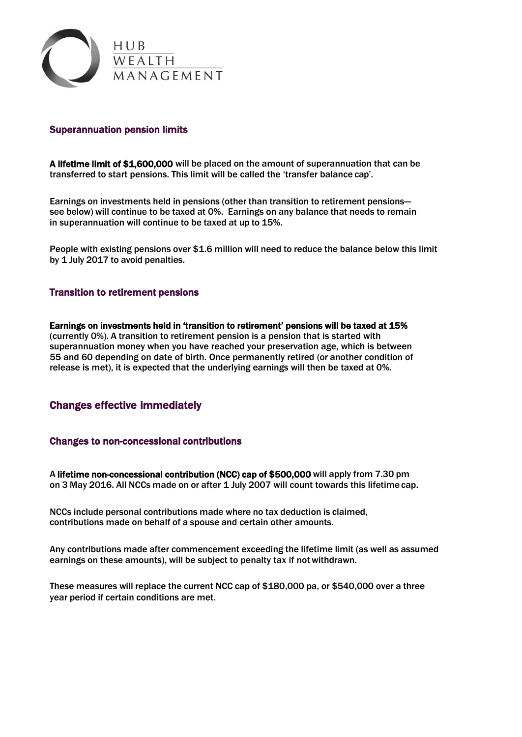

#### Superannuation pension limits

A lifetime limit of \$1,600,000 will be placed on the amount of superannuation that can be transferred to start pensions. This limit will be called the 'transfer balance cap'.

Earnings on investments held in pensions (other than transition to retirement pensions see below) will continue to be taxed at 0%. Earnings on any balance that needs to remain in superannuation will continue to be taxed at up to 15%.

People with existing pensions over \$1.6 million will need to reduce the balance below this limit by 1 July 2017 to avoid penalties.

#### Transition to retirement pensions

Earnings on investments held in 'transition to retirement' pensions will be taxed at 15% (currently 0%). A transition to retirement pension is a pension that is started with superannuation money when you have reached your preservation age, which is between 55 and 60 depending on date of birth. Once permanently retired (or another condition of release is met), it is expected that the underlying earnings will then be taxed at 0%.

#### Changes effective immediately

#### Changes to non-concessional contributions

A lifetime non-concessional contribution (NCC) cap of \$500,000 will apply from 7.30 pm on 3 May 2016. All NCCs made on or after 1 July 2007 will count towards this lifetime cap.

NCCs include personal contributions made where no tax deduction is claimed, contributions made on behalf of a spouse and certain other amounts.

Any contributions made after commencement exceeding the lifetime limit (as well as assumed earnings on these amounts), will be subject to penalty tax if notwithdrawn.

These measures will replace the current NCC cap of \$180,000 pa, or \$540,000 over a three year period if certain conditions are met.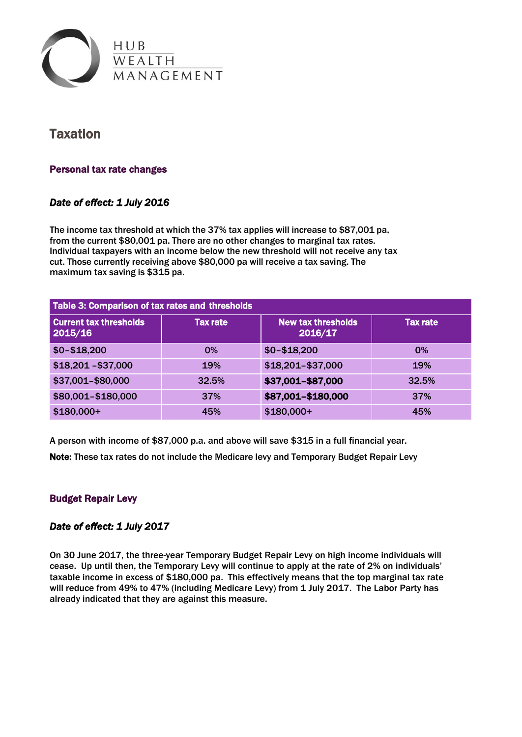

## **Taxation**

### Personal tax rate changes

## *Date of effect: 1 July 2016*

The income tax threshold at which the 37% tax applies will increase to \$87,001 pa, from the current \$80,001 pa. There are no other changes to marginal tax rates. Individual taxpayers with an income below the new threshold will not receive any tax cut. Those currently receiving above \$80,000 pa will receive a tax saving. The maximum tax saving is \$315 pa.

| Table 3: Comparison of tax rates and thresholds |                 |                                      |                 |  |
|-------------------------------------------------|-----------------|--------------------------------------|-----------------|--|
| <b>Current tax thresholds</b><br>2015/16        | <b>Tax rate</b> | <b>New tax thresholds</b><br>2016/17 | <b>Tax rate</b> |  |
| $$0 - $18,200$                                  | 0%              | $$0 - $18,200$                       | 0%              |  |
| $$18,201 - $37,000$                             | 19%             | \$18,201-\$37,000                    | 19%             |  |
| \$37,001-\$80,000                               | 32.5%           | \$37,001-\$87,000                    | 32.5%           |  |
| \$80,001-\$180,000                              | 37%             | \$87,001-\$180,000                   | <b>37%</b>      |  |
| $$180,000+$                                     | 45%             | $$180,000+$                          | 45%             |  |

A person with income of \$87,000 p.a. and above will save \$315 in a full financial year.

Note: These tax rates do not include the Medicare levy and Temporary Budget Repair Levy

## Budget Repair Levy

#### *Date of effect: 1 July 2017*

On 30 June 2017, the three-year Temporary Budget Repair Levy on high income individuals will cease. Up until then, the Temporary Levy will continue to apply at the rate of 2% on individuals' taxable income in excess of \$180,000 pa. This effectively means that the top marginal tax rate will reduce from 49% to 47% (including Medicare Levy) from 1 July 2017. The Labor Party has already indicated that they are against this measure.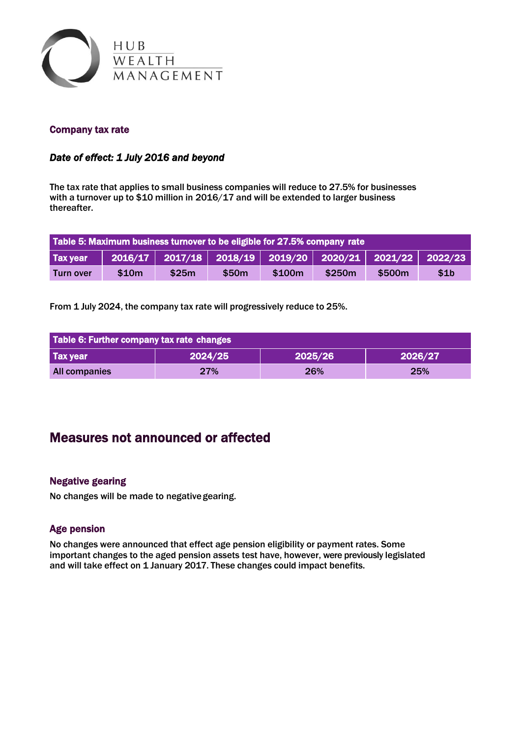

### Company tax rate

## *Date of effect: 1 July 2016 and beyond*

The tax rate that applies to small business companies will reduce to 27.5% for businesses with a turnover up to \$10 million in 2016/17 and will be extended to larger business thereafter.

| Table 5: Maximum business turnover to be eligible for 27.5% company rate |                  |       |       |        |        |        |                  |
|--------------------------------------------------------------------------|------------------|-------|-------|--------|--------|--------|------------------|
| <b>Tax year</b>                                                          | $\sqrt{2016/17}$ |       |       |        |        |        |                  |
| Turn over                                                                | \$10m            | \$25m | \$50m | \$100m | \$250m | \$500m | \$1 <sub>b</sub> |

From 1 July 2024, the company tax rate will progressively reduce to 25%.

| Table 6: Further company tax rate changes |         |         |         |  |
|-------------------------------------------|---------|---------|---------|--|
| <b>Tax year</b>                           | 2024/25 | 2025/26 | 2026/27 |  |
| <b>All companies</b>                      | 27%     | 26%     | 25%     |  |

## Measures not announced or affected

#### Negative gearing

No changes will be made to negativegearing.

#### Age pension

No changes were announced that effect age pension eligibility or payment rates. Some important changes to the aged pension assets test have, however, were previously legislated and will take effect on 1 January 2017. These changes could impact benefits.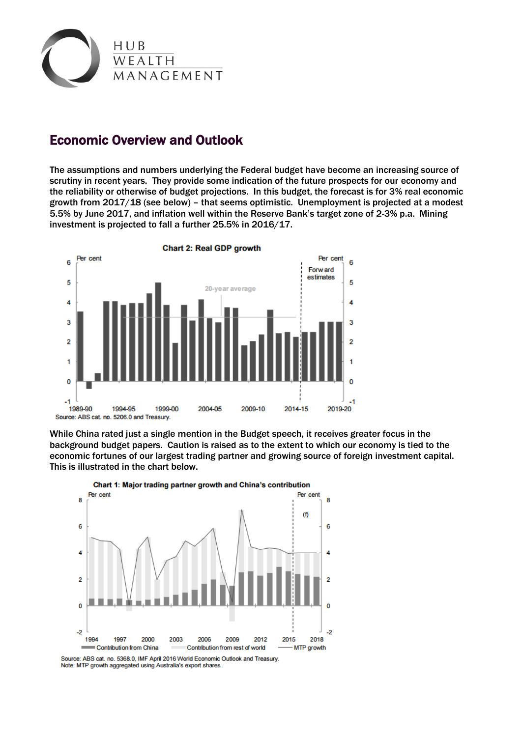

## Economic Overview and Outlook

The assumptions and numbers underlying the Federal budget have become an increasing source of scrutiny in recent years. They provide some indication of the future prospects for our economy and the reliability or otherwise of budget projections. In this budget, the forecast is for 3% real economic growth from 2017/18 (see below) – that seems optimistic. Unemployment is projected at a modest 5.5% by June 2017, and inflation well within the Reserve Bank's target zone of 2-3% p.a. Mining investment is projected to fall a further 25.5% in 2016/17.



While China rated just a single mention in the Budget speech, it receives greater focus in the background budget papers. Caution is raised as to the extent to which our economy is tied to the economic fortunes of our largest trading partner and growing source of foreign investment capital. This is illustrated in the chart below.



Note: MTP growth aggregated using Australia's export shares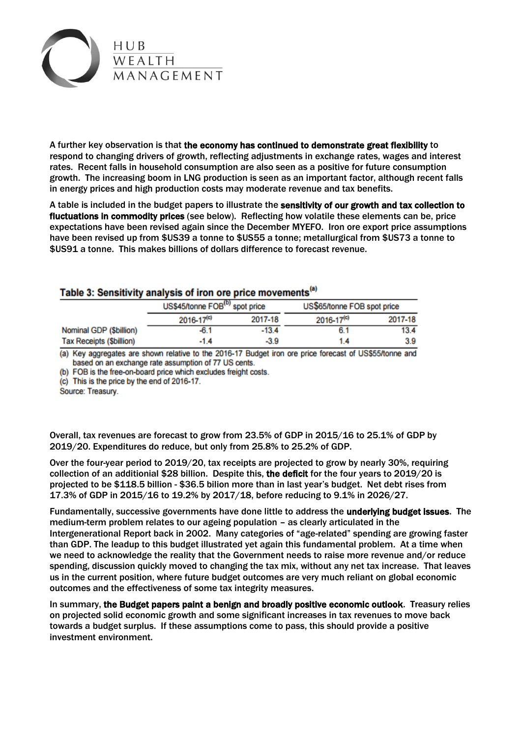

A further key observation is that the economy has continued to demonstrate great flexibility to respond to changing drivers of growth, reflecting adjustments in exchange rates, wages and interest rates. Recent falls in household consumption are also seen as a positive for future consumption growth. The increasing boom in LNG production is seen as an important factor, although recent falls in energy prices and high production costs may moderate revenue and tax benefits.

A table is included in the budget papers to illustrate the sensitivity of our growth and tax collection to fluctuations in commodity prices (see below). Reflecting how volatile these elements can be, price expectations have been revised again since the December MYEFO. Iron ore export price assumptions have been revised up from \$US39 a tonne to \$US55 a tonne; metallurgical from \$US73 a tonne to \$US91 a tonne. This makes billions of dollars difference to forecast revenue.

## Table 3: Sensitivity analysis of iron ore price movements<sup>(a)</sup>

|                                 |                | US\$45/tonne FOB <sup>(b)</sup> spot price |                | US\$65/tonne FOB spot price |
|---------------------------------|----------------|--------------------------------------------|----------------|-----------------------------|
|                                 | $2016 - 17(c)$ | 2017-18                                    | $2016 - 17(c)$ | 2017-18                     |
| Nominal GDP (\$billion)         | $-6.1$         | $-13.4$                                    | 6.1            | 13.4                        |
| <b>Tax Receipts (\$billion)</b> | $-1.4$         | $-3.9$                                     | 1.4            | 3.9                         |

(a) Key aggregates are shown relative to the 2016-17 Budget iron ore price forecast of US\$55/tonne and based on an exchange rate assumption of 77 US cents.

(b) FOB is the free-on-board price which excludes freight costs.

(c) This is the price by the end of 2016-17.

Source: Treasury.

Overall, tax revenues are forecast to grow from 23.5% of GDP in 2015/16 to 25.1% of GDP by 2019/20. Expenditures do reduce, but only from 25.8% to 25.2% of GDP.

Over the four-year period to 2019/20, tax receipts are projected to grow by nearly 30%, requiring collection of an additionial \$28 billion. Despite this, the deficit for the four years to 2019/20 is projected to be \$118.5 billion - \$36.5 bilion more than in last year's budget. Net debt rises from 17.3% of GDP in 2015/16 to 19.2% by 2017/18, before reducing to 9.1% in 2026/27.

Fundamentally, successive governments have done little to address the underlying budget issues. The medium-term problem relates to our ageing population – as clearly articulated in the Intergenerational Report back in 2002. Many categories of "age-related" spending are growing faster than GDP. The leadup to this budget illustrated yet again this fundamental problem. At a time when we need to acknowledge the reality that the Government needs to raise more revenue and/or reduce spending, discussion quickly moved to changing the tax mix, without any net tax increase. That leaves us in the current position, where future budget outcomes are very much reliant on global economic outcomes and the effectiveness of some tax integrity measures.

In summary, the Budget papers paint a benign and broadly positive economic outlook. Treasury relies on projected solid economic growth and some significant increases in tax revenues to move back towards a budget surplus. If these assumptions come to pass, this should provide a positive investment environment.